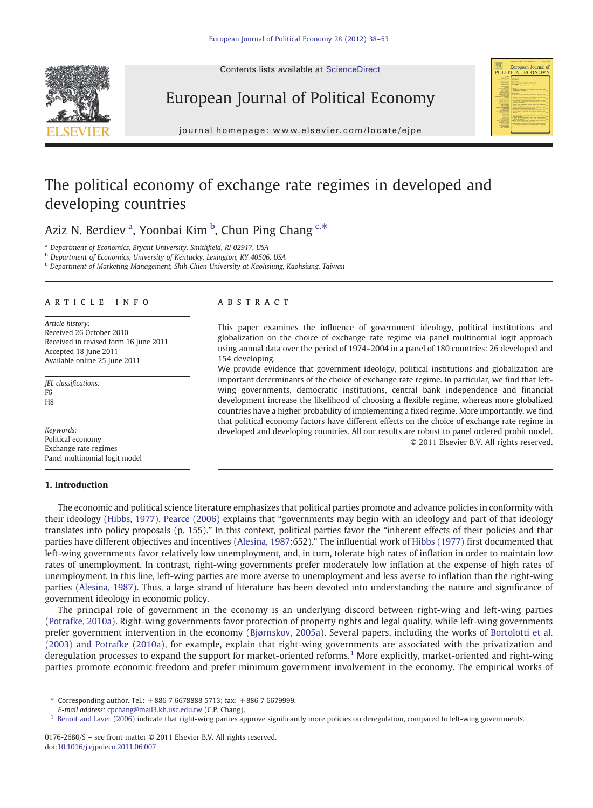Contents lists available at ScienceDirect







j o u r n a g e p a g e  $\mathbf{r}$  ev i e  $\mathbf{r}$ . c om  $\mathbf{r}$  even  $\mathbf{r}$  becomes  $\mathbf{r}$ 

## The political economy of exchange rate regimes in developed and developing countries

Aziz N. Berdiev <sup>a</sup>, Yoonbai Kim <sup>b</sup>, Chun Ping Chang <sup>c,\*</sup>

<sup>a</sup> Department of Economics, Bryant University, Smithfield, RI 02917, USA

b Department of Economics, University of Kentucky, Lexington, KY 40506, USA

<sup>c</sup> Department of Marketing Management, Shih Chien University at Kaohsiung, Kaohsiung, Taiwan

#### article info abstract

Article history: Received 26 October 2010 Received in revised form 16 June 2011 Accepted 18 June 2011 Available online 25 June 2011

JEL classifications: F6 H<sub>8</sub>

Keywords: Political economy Exchange rate regimes Panel multinomial logit model

### 1. Introduction

This paper examines the influence of government ideology, political institutions and globalization on the choice of exchange rate regime via panel multinomial logit approach using annual data over the period of 1974–2004 in a panel of 180 countries: 26 developed and 154 developing.

We provide evidence that government ideology, political institutions and globalization are important determinants of the choice of exchange rate regime. In particular, we find that leftwing governments, democratic institutions, central bank independence and financial development increase the likelihood of choosing a flexible regime, whereas more globalized countries have a higher probability of implementing a fixed regime. More importantly, we find that political economy factors have different effects on the choice of exchange rate regime in developed and developing countries. All our results are robust to panel ordered probit model. © 2011 Elsevier B.V. All rights reserved.

The economic and political science literature emphasizes that political parties promote and advance policies in conformity with their ideology ([Hibbs, 1977](#page--1-0)). [Pearce \(2006\)](#page--1-0) explains that "governments may begin with an ideology and part of that ideology translates into policy proposals (p. 155)." In this context, political parties favor the "inherent effects of their policies and that parties have different objectives and incentives ([Alesina, 1987](#page--1-0):652)." The influential work of [Hibbs \(1977\)](#page--1-0) first documented that left-wing governments favor relatively low unemployment, and, in turn, tolerate high rates of inflation in order to maintain low rates of unemployment. In contrast, right-wing governments prefer moderately low inflation at the expense of high rates of unemployment. In this line, left-wing parties are more averse to unemployment and less averse to inflation than the right-wing parties ([Alesina, 1987](#page--1-0)). Thus, a large strand of literature has been devoted into understanding the nature and significance of government ideology in economic policy.

The principal role of government in the economy is an underlying discord between right-wing and left-wing parties ([Potrafke, 2010a\)](#page--1-0). Right-wing governments favor protection of property rights and legal quality, while left-wing governments prefer government intervention in the economy [\(Bjørnskov, 2005a](#page--1-0)). Several papers, including the works of [Bortolotti et al.](#page--1-0) [\(2003\) and Potrafke \(2010a\)](#page--1-0), for example, explain that right-wing governments are associated with the privatization and deregulation processes to expand the support for market-oriented reforms.<sup>1</sup> More explicitly, market-oriented and right-wing parties promote economic freedom and prefer minimum government involvement in the economy. The empirical works of

<sup>⁎</sup> Corresponding author. Tel.: +886 7 6678888 5713; fax: +886 7 6679999.

E-mail address: [cpchang@mail3.kh.usc.edu.tw](mailto:cpchang@mail3.kh.usc.edu.tw) (C.P. Chang).

<sup>&</sup>lt;sup>1</sup> [Benoit and Laver \(2006\)](#page--1-0) indicate that right-wing parties approve significantly more policies on deregulation, compared to left-wing governments.

<sup>0176-2680/\$</sup> – see front matter © 2011 Elsevier B.V. All rights reserved. doi:[10.1016/j.ejpoleco.2011.06.007](http://dx.doi.org/10.1016/j.ejpoleco.2011.06.007)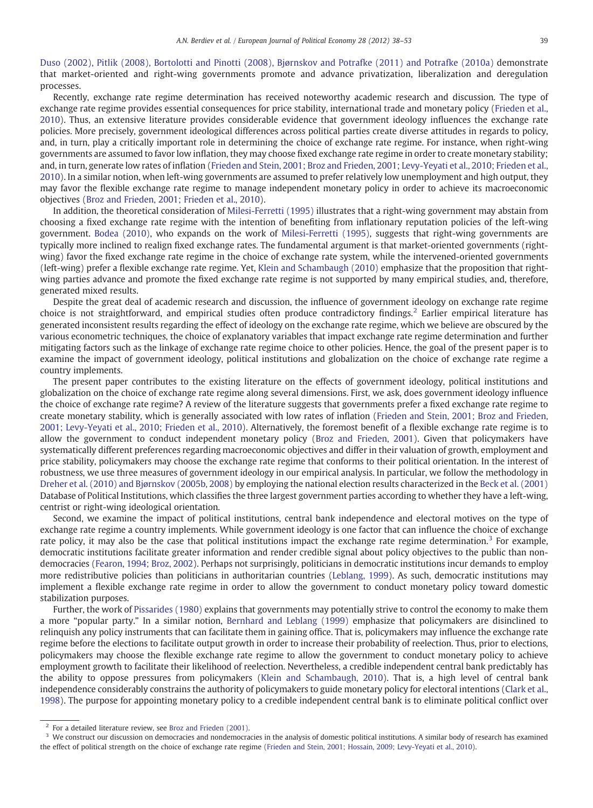[Duso \(2002\), Pitlik \(2008\), Bortolotti and Pinotti \(2008\), Bjørnskov and Potrafke \(2011\) and Potrafke \(2010a\)](#page--1-0) demonstrate that market-oriented and right-wing governments promote and advance privatization, liberalization and deregulation processes.

Recently, exchange rate regime determination has received noteworthy academic research and discussion. The type of exchange rate regime provides essential consequences for price stability, international trade and monetary policy [\(Frieden et al.,](#page--1-0) [2010](#page--1-0)). Thus, an extensive literature provides considerable evidence that government ideology influences the exchange rate policies. More precisely, government ideological differences across political parties create diverse attitudes in regards to policy, and, in turn, play a critically important role in determining the choice of exchange rate regime. For instance, when right-wing governments are assumed to favor low inflation, they may choose fixed exchange rate regime in order to create monetary stability; and, in turn, generate low rates of inflation ([Frieden and Stein, 2001; Broz and Frieden, 2001; Levy-Yeyati et al., 2010; Frieden et al.,](#page--1-0) [2010](#page--1-0)). In a similar notion, when left-wing governments are assumed to prefer relatively low unemployment and high output, they may favor the flexible exchange rate regime to manage independent monetary policy in order to achieve its macroeconomic objectives [\(Broz and Frieden, 2001; Frieden et al., 2010\)](#page--1-0).

In addition, the theoretical consideration of [Milesi-Ferretti \(1995\)](#page--1-0) illustrates that a right-wing government may abstain from choosing a fixed exchange rate regime with the intention of benefiting from inflationary reputation policies of the left-wing government. [Bodea \(2010\),](#page--1-0) who expands on the work of [Milesi-Ferretti \(1995\)](#page--1-0), suggests that right-wing governments are typically more inclined to realign fixed exchange rates. The fundamental argument is that market-oriented governments (rightwing) favor the fixed exchange rate regime in the choice of exchange rate system, while the intervened-oriented governments (left-wing) prefer a flexible exchange rate regime. Yet, [Klein and Schambaugh \(2010\)](#page--1-0) emphasize that the proposition that rightwing parties advance and promote the fixed exchange rate regime is not supported by many empirical studies, and, therefore, generated mixed results.

Despite the great deal of academic research and discussion, the influence of government ideology on exchange rate regime choice is not straightforward, and empirical studies often produce contradictory findings.<sup>2</sup> Earlier empirical literature has generated inconsistent results regarding the effect of ideology on the exchange rate regime, which we believe are obscured by the various econometric techniques, the choice of explanatory variables that impact exchange rate regime determination and further mitigating factors such as the linkage of exchange rate regime choice to other policies. Hence, the goal of the present paper is to examine the impact of government ideology, political institutions and globalization on the choice of exchange rate regime a country implements.

The present paper contributes to the existing literature on the effects of government ideology, political institutions and globalization on the choice of exchange rate regime along several dimensions. First, we ask, does government ideology influence the choice of exchange rate regime? A review of the literature suggests that governments prefer a fixed exchange rate regime to create monetary stability, which is generally associated with low rates of inflation ([Frieden and Stein, 2001; Broz and Frieden,](#page--1-0) [2001; Levy-Yeyati et al., 2010; Frieden et al., 2010](#page--1-0)). Alternatively, the foremost benefit of a flexible exchange rate regime is to allow the government to conduct independent monetary policy ([Broz and Frieden, 2001\)](#page--1-0). Given that policymakers have systematically different preferences regarding macroeconomic objectives and differ in their valuation of growth, employment and price stability, policymakers may choose the exchange rate regime that conforms to their political orientation. In the interest of robustness, we use three measures of government ideology in our empirical analysis. In particular, we follow the methodology in [Dreher et al. \(2010\) and Bjørnskov \(2005b, 2008\)](#page--1-0) by employing the national election results characterized in the [Beck et al. \(2001\)](#page--1-0) Database of Political Institutions, which classifies the three largest government parties according to whether they have a left-wing, centrist or right-wing ideological orientation.

Second, we examine the impact of political institutions, central bank independence and electoral motives on the type of exchange rate regime a country implements. While government ideology is one factor that can influence the choice of exchange rate policy, it may also be the case that political institutions impact the exchange rate regime determination.<sup>3</sup> For example, democratic institutions facilitate greater information and render credible signal about policy objectives to the public than nondemocracies ([Fearon, 1994; Broz, 2002](#page--1-0)). Perhaps not surprisingly, politicians in democratic institutions incur demands to employ more redistributive policies than politicians in authoritarian countries [\(Leblang, 1999\)](#page--1-0). As such, democratic institutions may implement a flexible exchange rate regime in order to allow the government to conduct monetary policy toward domestic stabilization purposes.

Further, the work of [Pissarides \(1980\)](#page--1-0) explains that governments may potentially strive to control the economy to make them a more "popular party." In a similar notion, [Bernhard and Leblang \(1999\)](#page--1-0) emphasize that policymakers are disinclined to relinquish any policy instruments that can facilitate them in gaining office. That is, policymakers may influence the exchange rate regime before the elections to facilitate output growth in order to increase their probability of reelection. Thus, prior to elections, policymakers may choose the flexible exchange rate regime to allow the government to conduct monetary policy to achieve employment growth to facilitate their likelihood of reelection. Nevertheless, a credible independent central bank predictably has the ability to oppose pressures from policymakers ([Klein and Schambaugh, 2010](#page--1-0)). That is, a high level of central bank independence considerably constrains the authority of policymakers to guide monetary policy for electoral intentions ([Clark et al.,](#page--1-0) [1998](#page--1-0)). The purpose for appointing monetary policy to a credible independent central bank is to eliminate political conflict over

<sup>2</sup> For a detailed literature review, see [Broz and Frieden \(2001\).](#page--1-0)

 $3\,$  We construct our discussion on democracies and nondemocracies in the analysis of domestic political institutions. A similar body of research has examined the effect of political strength on the choice of exchange rate regime [\(Frieden and Stein, 2001; Hossain, 2009; Levy-Yeyati et al., 2010](#page--1-0)).